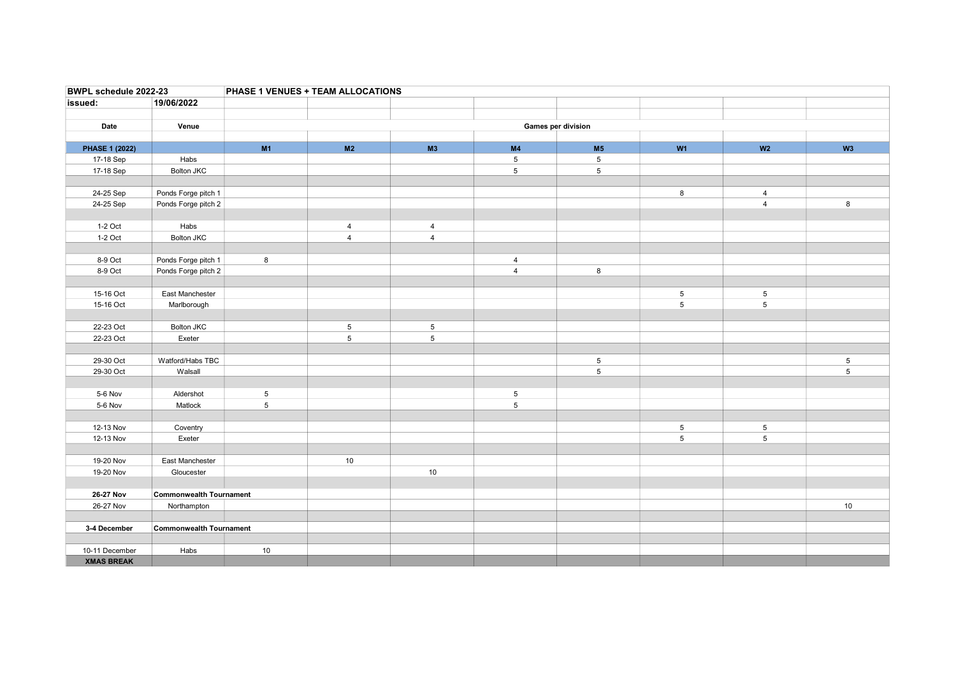| BWPL schedule 2022-23 |                                | PHASE 1 VENUES + TEAM ALLOCATIONS |                 |                |                 |                 |                                    |                     |                |  |  |
|-----------------------|--------------------------------|-----------------------------------|-----------------|----------------|-----------------|-----------------|------------------------------------|---------------------|----------------|--|--|
| issued:               | 19/06/2022                     |                                   |                 |                |                 |                 |                                    |                     |                |  |  |
|                       |                                |                                   |                 |                |                 |                 |                                    |                     |                |  |  |
| Date                  | Venue                          | Games per division                |                 |                |                 |                 |                                    |                     |                |  |  |
|                       |                                |                                   |                 |                |                 |                 |                                    |                     |                |  |  |
| <b>PHASE 1 (2022)</b> |                                | M1                                | M2              | M3             | M <sub>4</sub>  | M <sub>5</sub>  | W1                                 | W <sub>2</sub>      | W <sub>3</sub> |  |  |
| 17-18 Sep             | Habs                           |                                   |                 |                | $5\phantom{.0}$ | $5\phantom{.0}$ |                                    |                     |                |  |  |
| 17-18 Sep             | <b>Bolton JKC</b>              |                                   |                 |                | 5               | $\,$ 5 $\,$     |                                    |                     |                |  |  |
|                       |                                |                                   |                 |                |                 |                 |                                    |                     |                |  |  |
| 24-25 Sep             | Ponds Forge pitch 1            |                                   |                 |                |                 |                 | 8                                  | $\overline{4}$      |                |  |  |
| 24-25 Sep             | Ponds Forge pitch 2            |                                   |                 |                |                 |                 |                                    | $\overline{4}$      | 8              |  |  |
|                       |                                |                                   |                 |                |                 |                 |                                    |                     |                |  |  |
| 1-2 Oct               | Habs                           |                                   | $\overline{4}$  | 4              |                 |                 |                                    |                     |                |  |  |
| 1-2 Oct               | <b>Bolton JKC</b>              |                                   | $\overline{4}$  | $\overline{4}$ |                 |                 |                                    |                     |                |  |  |
|                       |                                |                                   |                 |                |                 |                 |                                    |                     |                |  |  |
| 8-9 Oct               | Ponds Forge pitch 1            | 8                                 |                 |                | $\overline{4}$  |                 |                                    |                     |                |  |  |
| 8-9 Oct               | Ponds Forge pitch 2            |                                   |                 |                | $\overline{4}$  | 8               |                                    |                     |                |  |  |
| 15-16 Oct             | East Manchester                |                                   |                 |                |                 |                 |                                    |                     |                |  |  |
| 15-16 Oct             | Marlborough                    |                                   |                 |                |                 |                 | $5\phantom{.0}$<br>$5\phantom{.0}$ | 5<br>$\overline{5}$ |                |  |  |
|                       |                                |                                   |                 |                |                 |                 |                                    |                     |                |  |  |
| 22-23 Oct             | <b>Bolton JKC</b>              |                                   | $5\phantom{.0}$ | $\sqrt{5}$     |                 |                 |                                    |                     |                |  |  |
| 22-23 Oct             | Exeter                         |                                   | $\,$ 5 $\,$     | $\sqrt{5}$     |                 |                 |                                    |                     |                |  |  |
|                       |                                |                                   |                 |                |                 |                 |                                    |                     |                |  |  |
| 29-30 Oct             | Watford/Habs TBC               |                                   |                 |                |                 | $\overline{5}$  |                                    |                     | $\overline{5}$ |  |  |
| 29-30 Oct             | Walsall                        |                                   |                 |                |                 | 5               |                                    |                     | 5              |  |  |
|                       |                                |                                   |                 |                |                 |                 |                                    |                     |                |  |  |
| 5-6 Nov               | Aldershot                      | $5\phantom{.0}$                   |                 |                | $5\phantom{.0}$ |                 |                                    |                     |                |  |  |
| 5-6 Nov               | Matlock                        | $\overline{5}$                    |                 |                | $\,$ 5 $\,$     |                 |                                    |                     |                |  |  |
|                       |                                |                                   |                 |                |                 |                 |                                    |                     |                |  |  |
| 12-13 Nov             | Coventry                       |                                   |                 |                |                 |                 | $\sqrt{5}$                         | $5\phantom{.0}$     |                |  |  |
| 12-13 Nov             | Exeter                         |                                   |                 |                |                 |                 | 5                                  | 5                   |                |  |  |
|                       |                                |                                   |                 |                |                 |                 |                                    |                     |                |  |  |
| 19-20 Nov             | East Manchester                |                                   | 10              |                |                 |                 |                                    |                     |                |  |  |
| 19-20 Nov             | Gloucester                     |                                   |                 | 10             |                 |                 |                                    |                     |                |  |  |
|                       |                                |                                   |                 |                |                 |                 |                                    |                     |                |  |  |
| 26-27 Nov             | <b>Commonwealth Tournament</b> |                                   |                 |                |                 |                 |                                    |                     |                |  |  |
| 26-27 Nov             | Northampton                    |                                   |                 |                |                 |                 |                                    |                     | $10$           |  |  |
|                       |                                |                                   |                 |                |                 |                 |                                    |                     |                |  |  |
| 3-4 December          | <b>Commonwealth Tournament</b> |                                   |                 |                |                 |                 |                                    |                     |                |  |  |
|                       |                                |                                   |                 |                |                 |                 |                                    |                     |                |  |  |
| 10-11 December        | Habs                           | 10                                |                 |                |                 |                 |                                    |                     |                |  |  |
| <b>XMAS BREAK</b>     |                                |                                   |                 |                |                 |                 |                                    |                     |                |  |  |